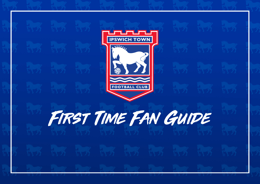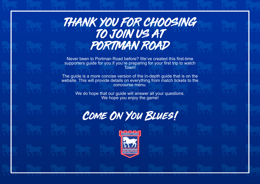# THANK YOU FOR CHOOSING TO JOIN US AT PORTMAN ROAD

Never been to Portman Road before? We've created this first-time supporters guide for you if you're preparing for your first trip to watch Town!

The guide is a more concise version of the in-depth guide that is on the website. This will provide details on everything from match tickets to the concourse menu.

We do hope that our guide will answer all your questions. We hope you enjoy the game!



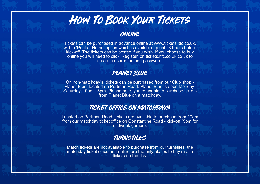# How To Book Your Tickets

# ONLINE

Tickets can be purchased in advance online at www.tickets.itfc.co.uk, with a 'Print at Home' option which is available up until 3 hours before kick-off. The tickets can be posted if you wish. If you choose to buy online you will need to click 'Register' on tickets.itfc.co.uk.co.uk to create a username and password.

## PLANET BLUE

On non-matchday's, tickets can be purchased from our Club shop - Planet Blue, located on Portman Road. Planet Blue is open Monday - Saturday, 10am - 5pm. Please note, you're unable to purchase tickets from Planet Blue on a matchday.

## TICKET OFFICE ON MATCHDAYS

Located on Portman Road, tickets are available to purchase from 10am from our matchday ticket office on Constantine Road - kick-off (5pm for midweek games).

# TURNSTILES

Match tickets are not available to purchase from our turnstiles, the matchday ticket office and online are the only places to buy match tickets on the day.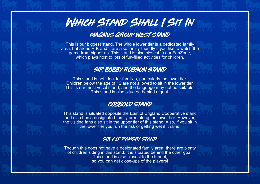# WHICH STAND SHALL I SIT IN

# MAGNUS GROUP WEST STAND

This is our biggest stand. The whole lower tier is a dedicated family area, but areas F, K and L are also family-friendly if you like to watch the game from higher up. This stand is also closest to our FanZone, which plays host to lots of fun-filled activities for children.

### SIR BOBBY ROBSON STAND

This stand is not ideal for families, particularly the lower tier. Children below the age of 12 are not allowed to sit in the lower tier. This is our most vocal stand, and the language may not be suitable. This stand is also situated behind a goal.

#### COBBOLD STAND

This stand is situated opposite the East of England Cooperative stand and also has a designated family area along the lower tier. However, the visiting fans also sit in the upper tier of this stand. Also, if you sit in the lower tier you run the risk of getting wet if it rains!

#### sir alf ramsey stand

Though this does not have a designated family area, there are plenty of children sitting in this stand. It is situated behind the other goal. This stand is also closest to the tunnel, so you can get close-ups of the players!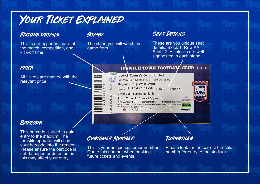# YOUR TICKET EXPLAINED

#### FIXTURE DETAILS

This is our opponent, date of the match, competition, and kick-off time.

#### price

All tickets are marked with the relevant price.

#### **BARCODE**

This barcode is used to gain entry to the stadium. The turnstile operator will scan your barcode into the reader. Please ensure the barcode is not damaged or defected as this may affect your entry.

## **STAND**

The stand you will watch the game from.

#### SEAT DETAILS

These are you unique seat details. Block 1, Row AA, Seat 12. All blocks are well signposted in each stand.

#### **IPSWICH TOWN FOOTBALL CLUB**

**Ipswich Town Vs Oxford United** Saturday 3 November 2021 Kick Off: 15:00 **Magnus Group West Stand** Block: FF - FAMILY (No U5s) Row: E Seat: 30 Enter via : Turnstiles: 42-58 Entry Time : 2:15pm - 2:30pm Supporter ID: 201247 Complimentary **ITEC MARKETING** PLEASE BE AWARE OF THE COVID ENTRY REQUIREMENTS BEFORE ARRIVAL AT THE TURNSTILES SEE WWW.ITFC.CO.UK FOR MORE INFO Persistent standing is not<br>permitted and could result in<br>perching from the stadium  $+ - = +x$ 



# **CUSTOMER NUMBER**

This is your unique customer number. Quote this number when booking future tickets and events.

### Turnstiles

لحمله

Please look for the correct turnstile number for entry to the stadium.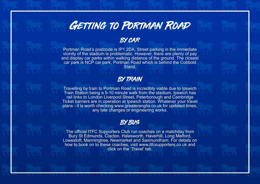

## BY CAR

Portman Road's postcode is IP1 2DA. Street parking in the immediate vicinity of the stadium is problematic. However, there are plenty of pay and display car parks within walking distance of the ground. The closest car park is NCP car park, Portman Road which is behind the Cobbold Stand.

### BY TRAIN

Travelling by train to Portman Road is incredibly viable due to Ipswich Train Station being a 5-10 minute walk from the stadium. Ipswich has rail links to London Liverpool Street, Peterborough and Cambridge Ticket barriers are in operation at Ipswich station. Whatever your travel plans - it is worth checking www.greateranglia.co.uk for updated times, any late changes or engineering works.

#### BY BUS

The official ITFC Supporters Club run coaches on a matchday from Bury St Edmunds, Clacton, Halesworth, Haverhill, Long Melford, Lowestoft, Manningtree, Newmarket and Saxmundham. For details on how to book on to these coaches, visit www.itfcsupporters.co.uk and click on the 'Travel' tab.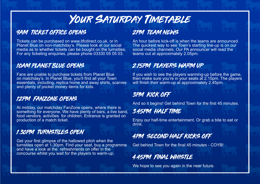# YOUR SATURDAY TIMETABLE

# 9AM TICKET OFFICE OPENS

Tickets can be purchased on www.itfcdirect.co.uk, or in Planet Blue on non-matchday's. Please look at our social media as to whether tickets can be bought on the turnstiles. For any ticketing enquiries, please phone 03330 05 05 03.

### 10AM PLANET BLUE OPENS

Fans are unable to purchase tickets from Planet Blue on matchday's. In Planet Blue, you'll find all your Town essentials, including, replica home and away shirts, scarves and plenty of pocket money items for kids.

### 12PM FANZONE OPENS

At midday, our matchday FanZone opens, where there is something for everyone. We have plenty of bars, a live band, food vendors, activities for children. Entrance is granted on production of a match ticket.

## 1.30PM TURNSTILES OPEN

Get your first glimpse of the hallowed pitch when the turnstiles open at 1.30pm. Find your seat, buy a programme and have a look at the refreshments on offer in the concourse whilst you wait for the players to warm-up.

# 2PM TEAM NEWS

An hour before kick-off is when the teams are announced. The quickest way to see Town's starting line-up is on our social media channels. Our PA announcer will read the teams out at approximately 2.05pm.

## 2.15PM PLAYERS WARM UP

If you wish to see the players warming-up before the game, then make sure you're in your seats at 2.15pm. The players will finish their warm-up at approximately 2.45pm.

# 3PM KICK OFF

And so it begins! Get behind Town for the first 45 minutes.

### 3.45PM HALF TIME

Enjoy our half-time entertainment. Or grab a bite to eat or drink.

# 4PM SECOND HALF KICKS OFF

Get behind Town for the final 45 minutes - COYB!

# 4.45PM FINAL WHISTLE

We hope to see you again in the near future.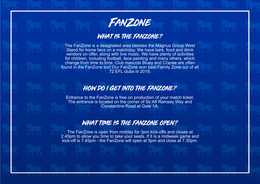

## WHAT IS THE FANZONE?

The FanZone is a designated area besides the Magnus Group West Stand for home fans on a matchday. We have bars, food and drink vendors on offer, along with live music. We have plenty of activities for children, including football, face painting and many others, which change from time to time. Club mascots Bluey and Crazee are often found in the FanZone too! Our FanZone won best Family Zone out of all 72 EFL clubs in 2019.

### HOW DO I GET INTO THE FANZONE?

Entrance to the FanZone is free on production of your match ticket. The entrance is located on the corner of Sir Alf Ramsey Way and Constantine Road at Gate 1A.

#### WHAT TIME IS THE FANZONE OPEN?

The FanZone is open from midday for 3pm kick-offs and closes at 2.45pm to allow you time to take your seats. If it is a midweek game and kick-off is 7.45pm - the FanZone will open at 5pm and close at 7.30pm.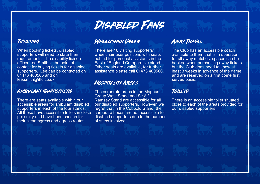

#### **TICKETING**

When booking tickets, disabled supporters will need to state their requirements. The disability liaison officer Lee Smith is the point of contact for buying tickets for disabled supporters. Lee can be contacted on 01473 400566 and on lee.smith@itfc.co.uk.

#### Ambulant Supporters

There are seats available within our accessible areas for ambulant disabled supporters in each of the four stands. All these have accessible toilets in close proximity and have been chosen for their clear ingress and egress routes.

#### Wheelchair Users

There are 10 visiting supporters' wheelchair user positions with seats behind for personal assistants in the East of England Co-operative stand. Other seats are available, for further assistance please call 01473 400566.

#### Hospitality Areas

The corporate areas in the Magnus Group West Stand and Sir Alf Ramsey Stand are accessible for all our disabled supporters. However, we regret that in the Cobbold Stand, the corporate boxes are not accessible for disabled supporters due to the number of steps involved.

#### Away Travel

The Club has an accessible coach available to them that is in operation for all away matches, spaces can be booked when purchasing away tickets but the Club does need to know at least 3 weeks in advance of the game and are reserved on a first come first served basis.

#### Toilets

There is an accessible toilet situated close to each of the areas provided for our disabled supporters.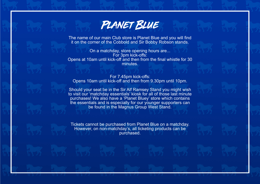

The name of our main Club store is Planet Blue and you will find it on the corner of the Cobbold and Sir Bobby Robson stands.

On a matchday, store opening hours are... For 3pm kick-offs: Opens at 10am until kick-off and then from the final whistle for 30 minutes.

For 7.45pm kick-offs: Opens 10am until kick-off and then from 9.30pm until 10pm.

Should your seat be in the Sir Alf Ramsey Stand you might wish to visit our 'matchday essentials' kiosk for all of those last minute purchases! We also have a 'Planet Bluey' store which contains the essentials and is especially for our younger supporters can be found in the Magnus Group West Stand.

Tickets cannot be purchased from Planet Blue on a matchday. However, on non-matchday's, all ticketing products can be purchased.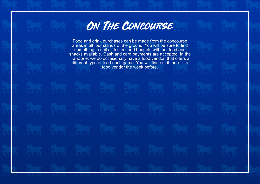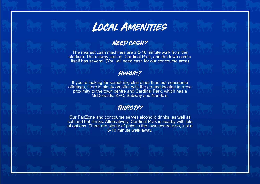

### NEED CASH?

The nearest cash machines are a 5-10 minute walk from the stadium. The railway station, Cardinal Park, and the town centre itself has several. (You will need cash for our concourse area)

#### Hungry?

If you're looking for something else other than our concourse offerings, there is plenty on offer with the ground located in close proximity to the town centre and Cardinal Park, which has a McDonalds, KFC, Subway and Nando's.

### THIRSTY?

Our FanZone and concourse serves alcoholic drinks, as well as soft and hot drinks. Alternatively, Cardinal Park is nearby with lots of options. There are plenty of pubs in the town centre also, just a 5-10 minute walk away.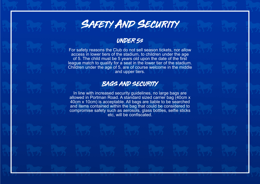# SAFETY AND SECURITY

#### UNDER 5s

For safety reasons the Club do not sell season tickets, nor allow access in lower tiers of the stadium, to children under the age of 5. The child must be 5 years old upon the date of the first league match to qualify for a seat in the lower tier of the stadium. Children under the age of 5, are of course welcome in the middle and upper tiers.

#### BAGS AND SECURITY

In line with increased security guidelines, no large bags are allowed in Portman Road. A standard sized carrier bag (40cm x 40cm x 10cm) is acceptable. All bags are liable to be searched and items contained within the bag that could be considered to compromise safety such as aerosols, glass bottles, selfie sticks etc, will be confiscated.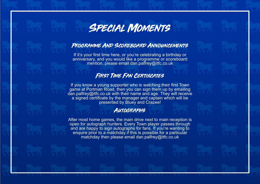# Special Moments

#### Programme And Scoreboard Announcements

If it's your first time here, or you're celebrating a birthday or anniversary, and you would like a programme or scoreboard mention, please email dan.palfrey@itfc.co.uk

#### FIRST TIME FAN CERTIFICATES

If you know a young supporter who is watching their first Town game at Portman Road, then you can sign them up by emailing dan.palfrey@itfc.co.uk with their name and age. They will receive a signed certificate by the manager and captain which will be presented by Bluey and Crazee!

#### **AUTOGRAPHS**

After most home games, the main drive next to main reception is open for autograph hunters. Every Town player passes through and are happy to sign autographs for fans. If you're wanting to enquire prior to a matchday if this is possible for a particular matchday then please email dan.palfrey@itfc.co.uk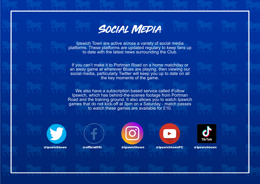

Ipswich Town are active across a variety of social media platforms. These platforms are updated regulary to keep fans up to date with the latest news surrounding the Club.

If you can't make it to Portman Road on a home matchday or an away game at wherever Blues are playing, then viewing our social media, particularly Twitter will keep you up to date on all the key moments of the game.

We also have a subscription based service called iFollow Ipswich, which has behind-the-scenes footage from Portman Road and the training ground. It also allows you to watch Ipswich games that do not kick-off at 3pm on a Saturday - match passes to watch these games are available for £10.



@ipswichtown



@officialitfc



@ipswichtown





@ipswichtown